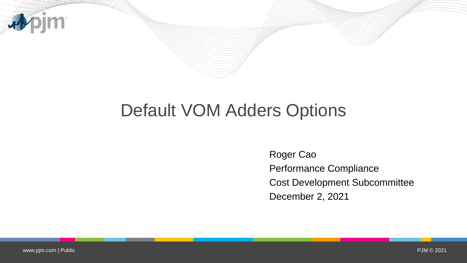

# Default VOM Adders Options

Roger Cao Performance Compliance Cost Development Subcommittee December 2, 2021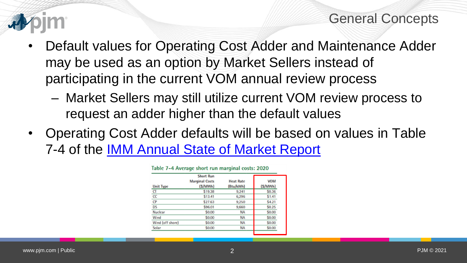

- Default values for Operating Cost Adder and Maintenance Adder may be used as an option by Market Sellers instead of participating in the current VOM annual review process
	- Market Sellers may still utilize current VOM review process to request an adder higher than the default values
- Operating Cost Adder defaults will be based on values in Table 7-4 of the [IMM Annual State of Market Report](https://www.monitoringanalytics.com/reports/PJM_State_of_the_Market/2020.shtml)

|                  | <b>Short Run</b>                 |                               |                       |
|------------------|----------------------------------|-------------------------------|-----------------------|
| <b>Unit Type</b> | <b>Marginal Costs</b><br>(S/MWh) | <b>Heat Rate</b><br>(Btu/kWh) | <b>VOM</b><br>(S/MWh) |
| <b>CT</b>        | \$19.38                          | 9,241                         | \$0.36                |
| cc               | \$13.41                          | 6,296                         | \$1.41                |
| <b>CP</b>        | \$27.63                          | 9,250                         | \$4.21                |
| <b>DS</b>        | \$96.01                          | 9,660                         | \$0.25                |
| <b>Nuclear</b>   | \$0.00                           | <b>NA</b>                     | \$0.00                |
| Wind             | \$0.00                           | <b>NA</b>                     | \$0.00                |
| Wind (off shore) | \$0.00                           | <b>NA</b>                     | \$0.00                |
| Solar            | \$0.00                           | <b>NA</b>                     | \$0.00                |

|  |  | Table 7-4 Average short run marginal costs: 2020 |  |  |  |
|--|--|--------------------------------------------------|--|--|--|
|--|--|--------------------------------------------------|--|--|--|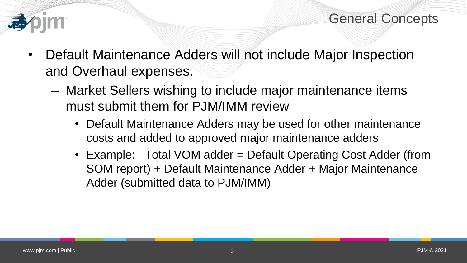

- Default Maintenance Adders will not include Major Inspection and Overhaul expenses.
	- Market Sellers wishing to include major maintenance items must submit them for PJM/IMM review
		- Default Maintenance Adders may be used for other maintenance costs and added to approved major maintenance adders
		- Example: Total VOM adder = Default Operating Cost Adder (from SOM report) + Default Maintenance Adder + Major Maintenance Adder (submitted data to PJM/IMM)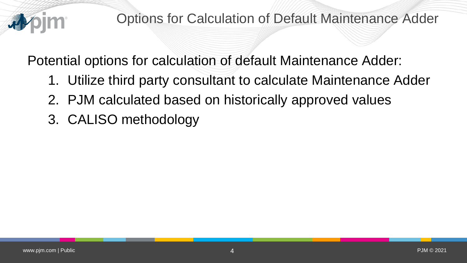

Potential options for calculation of default Maintenance Adder:

- 1. Utilize third party consultant to calculate Maintenance Adder
- 2. PJM calculated based on historically approved values
- 3. CALISO methodology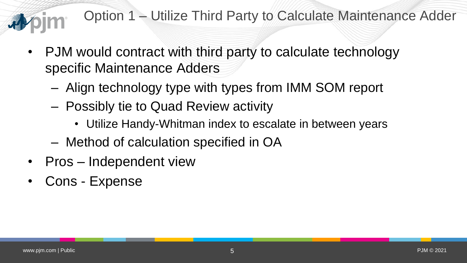## Option 1 – Utilize Third Party to Calculate Maintenance Adder

- PJM would contract with third party to calculate technology specific Maintenance Adders
	- Align technology type with types from IMM SOM report
	- Possibly tie to Quad Review activity
		- Utilize Handy-Whitman index to escalate in between years
	- Method of calculation specified in OA
- Pros Independent view
- Cons Expense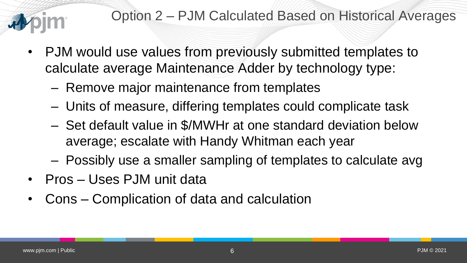### Option 2 – PJM Calculated Based on Historical Averages

- PJM would use values from previously submitted templates to calculate average Maintenance Adder by technology type:
	- Remove major maintenance from templates
	- Units of measure, differing templates could complicate task
	- Set default value in \$/MWHr at one standard deviation below average; escalate with Handy Whitman each year
	- Possibly use a smaller sampling of templates to calculate avg
- Pros Uses PJM unit data
- Cons Complication of data and calculation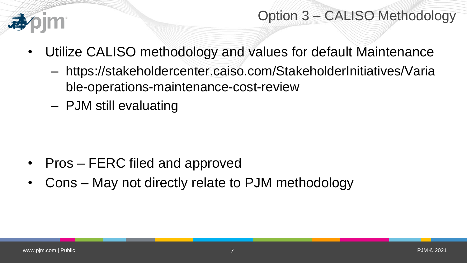

### Option 3 – CALISO Methodology

- Utilize CALISO methodology and values for default Maintenance
	- https://stakeholdercenter.caiso.com/StakeholderInitiatives/Varia ble-operations-maintenance-cost-review
	- PJM still evaluating

- Pros FERC filed and approved
- Cons May not directly relate to PJM methodology